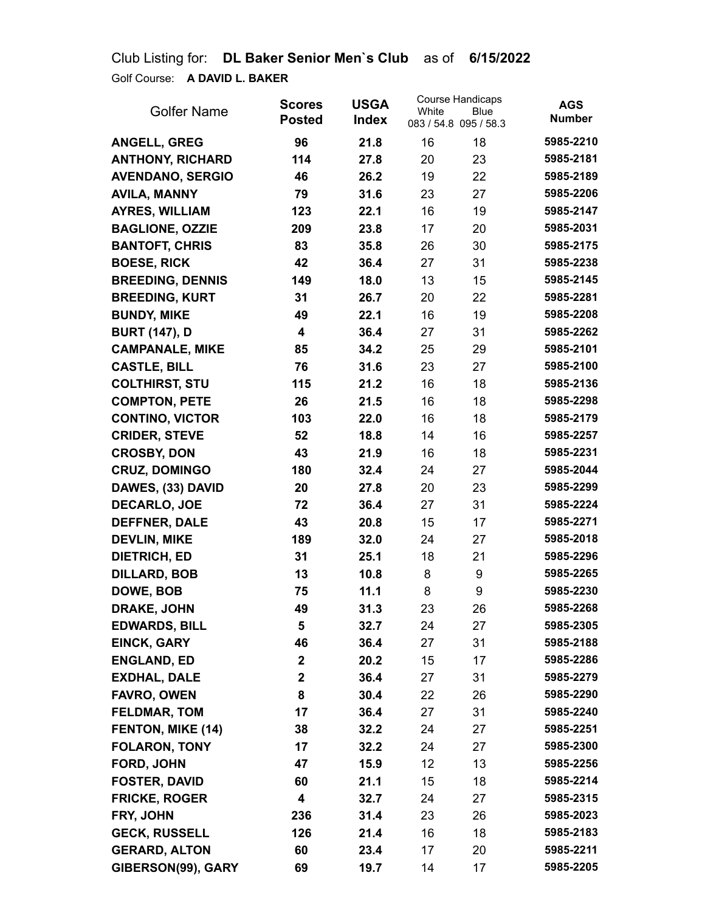Club Listing for: **DL Baker Senior Men`s Club** as of **6/15/2022** Golf Course: **A DAVID L. BAKER**

| <b>Golfer Name</b>      | <b>Scores</b><br><b>Posted</b> | <b>USGA</b><br><b>Index</b> | White           | <b>Course Handicaps</b><br>Blue<br>083 / 54.8 095 / 58.3 | <b>AGS</b><br><b>Number</b> |
|-------------------------|--------------------------------|-----------------------------|-----------------|----------------------------------------------------------|-----------------------------|
| <b>ANGELL, GREG</b>     | 96                             | 21.8                        | 16              | 18                                                       | 5985-2210                   |
| <b>ANTHONY, RICHARD</b> | 114                            | 27.8                        | 20              | 23                                                       | 5985-2181                   |
| <b>AVENDANO, SERGIO</b> | 46                             | 26.2                        | 19              | 22                                                       | 5985-2189                   |
| <b>AVILA, MANNY</b>     | 79                             | 31.6                        | 23              | 27                                                       | 5985-2206                   |
| <b>AYRES, WILLIAM</b>   | 123                            | 22.1                        | 16              | 19                                                       | 5985-2147                   |
| <b>BAGLIONE, OZZIE</b>  | 209                            | 23.8                        | 17              | 20                                                       | 5985-2031                   |
| <b>BANTOFT, CHRIS</b>   | 83                             | 35.8                        | 26              | 30                                                       | 5985-2175                   |
| <b>BOESE, RICK</b>      | 42                             | 36.4                        | 27              | 31                                                       | 5985-2238                   |
| <b>BREEDING, DENNIS</b> | 149                            | 18.0                        | 13              | 15                                                       | 5985-2145                   |
| <b>BREEDING, KURT</b>   | 31                             | 26.7                        | 20              | 22                                                       | 5985-2281                   |
| <b>BUNDY, MIKE</b>      | 49                             | 22.1                        | 16              | 19                                                       | 5985-2208                   |
| <b>BURT (147), D</b>    | 4                              | 36.4                        | 27              | 31                                                       | 5985-2262                   |
| <b>CAMPANALE, MIKE</b>  | 85                             | 34.2                        | 25              | 29                                                       | 5985-2101                   |
| <b>CASTLE, BILL</b>     | 76                             | 31.6                        | 23              | 27                                                       | 5985-2100                   |
| <b>COLTHIRST, STU</b>   | 115                            | 21.2                        | 16              | 18                                                       | 5985-2136                   |
| <b>COMPTON, PETE</b>    | 26                             | 21.5                        | 16              | 18                                                       | 5985-2298                   |
| <b>CONTINO, VICTOR</b>  | 103                            | 22.0                        | 16              | 18                                                       | 5985-2179                   |
| <b>CRIDER, STEVE</b>    | 52                             | 18.8                        | 14              | 16                                                       | 5985-2257                   |
| <b>CROSBY, DON</b>      | 43                             | 21.9                        | 16              | 18                                                       | 5985-2231                   |
| <b>CRUZ, DOMINGO</b>    | 180                            | 32.4                        | 24              | 27                                                       | 5985-2044                   |
| DAWES, (33) DAVID       | 20                             | 27.8                        | 20              | 23                                                       | 5985-2299                   |
| <b>DECARLO, JOE</b>     | 72                             | 36.4                        | 27              | 31                                                       | 5985-2224                   |
| <b>DEFFNER, DALE</b>    | 43                             | 20.8                        | 15              | 17                                                       | 5985-2271                   |
| <b>DEVLIN, MIKE</b>     | 189                            | 32.0                        | 24              | 27                                                       | 5985-2018                   |
| <b>DIETRICH, ED</b>     | 31                             | 25.1                        | 18              | 21                                                       | 5985-2296                   |
| <b>DILLARD, BOB</b>     | 13                             | 10.8                        | 8               | 9                                                        | 5985-2265                   |
| DOWE, BOB               | 75                             | 11.1                        | 8               | 9                                                        | 5985-2230                   |
| <b>DRAKE, JOHN</b>      | 49                             | 31.3                        | 23              | 26                                                       | 5985-2268                   |
| <b>EDWARDS, BILL</b>    | 5                              | 32.7                        | 24              | 27                                                       | 5985-2305                   |
| <b>EINCK, GARY</b>      | 46                             | 36.4                        | 27              | 31                                                       | 5985-2188                   |
| <b>ENGLAND, ED</b>      | $\mathbf{2}$                   | 20.2                        | 15              | 17                                                       | 5985-2286                   |
| <b>EXDHAL, DALE</b>     | $\mathbf 2$                    | 36.4                        | 27              | 31                                                       | 5985-2279                   |
| <b>FAVRO, OWEN</b>      | 8                              | 30.4                        | 22              | 26                                                       | 5985-2290                   |
| <b>FELDMAR, TOM</b>     | 17                             | 36.4                        | 27              | 31                                                       | 5985-2240                   |
| FENTON, MIKE (14)       | 38                             | 32.2                        | 24              | 27                                                       | 5985-2251                   |
| <b>FOLARON, TONY</b>    | 17                             | 32.2                        | 24              | 27                                                       | 5985-2300                   |
| FORD, JOHN              | 47                             | 15.9                        | 12 <sup>2</sup> | 13                                                       | 5985-2256                   |
| <b>FOSTER, DAVID</b>    | 60                             | 21.1                        | 15              | 18                                                       | 5985-2214                   |
| <b>FRICKE, ROGER</b>    | 4                              | 32.7                        | 24              | 27                                                       | 5985-2315                   |
| FRY, JOHN               | 236                            | 31.4                        | 23              | 26                                                       | 5985-2023                   |
| <b>GECK, RUSSELL</b>    | 126                            | 21.4                        | 16              | 18                                                       | 5985-2183                   |
| <b>GERARD, ALTON</b>    | 60                             | 23.4                        | 17              | 20                                                       | 5985-2211                   |
| GIBERSON(99), GARY      | 69                             | 19.7                        | 14              | 17                                                       | 5985-2205                   |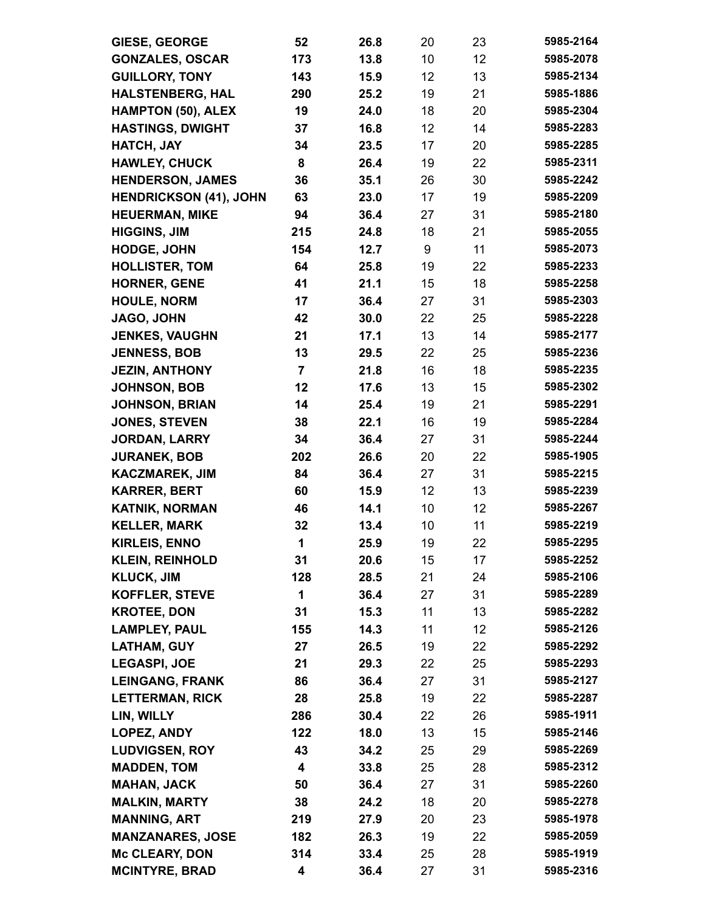| <b>GIESE, GEORGE</b>                      | 52             | 26.8         | 20       | 23       | 5985-2164              |
|-------------------------------------------|----------------|--------------|----------|----------|------------------------|
| <b>GONZALES, OSCAR</b>                    | 173            | 13.8         | 10       | 12       | 5985-2078              |
| <b>GUILLORY, TONY</b>                     | 143            | 15.9         | 12       | 13       | 5985-2134              |
| <b>HALSTENBERG, HAL</b>                   | 290            | 25.2         | 19       | 21       | 5985-1886              |
| <b>HAMPTON (50), ALEX</b>                 | 19             | 24.0         | 18       | 20       | 5985-2304              |
| <b>HASTINGS, DWIGHT</b>                   | 37             | 16.8         | 12       | 14       | 5985-2283              |
| HATCH, JAY                                | 34             | 23.5         | 17       | 20       | 5985-2285              |
| <b>HAWLEY, CHUCK</b>                      | 8              | 26.4         | 19       | 22       | 5985-2311              |
| <b>HENDERSON, JAMES</b>                   | 36             | 35.1         | 26       | 30       | 5985-2242              |
| <b>HENDRICKSON (41), JOHN</b>             | 63             | 23.0         | 17       | 19       | 5985-2209              |
| <b>HEUERMAN, MIKE</b>                     | 94             | 36.4         | 27       | 31       | 5985-2180              |
| <b>HIGGINS, JIM</b>                       | 215            | 24.8         | 18       | 21       | 5985-2055              |
| <b>HODGE, JOHN</b>                        | 154            | 12.7         | 9        | 11       | 5985-2073              |
| <b>HOLLISTER, TOM</b>                     | 64             | 25.8         | 19       | 22       | 5985-2233              |
| <b>HORNER, GENE</b>                       | 41             | 21.1         | 15       | 18       | 5985-2258              |
| <b>HOULE, NORM</b>                        | 17             | 36.4         | 27       | 31       | 5985-2303              |
| JAGO, JOHN                                | 42             | 30.0         | 22       | 25       | 5985-2228              |
| <b>JENKES, VAUGHN</b>                     | 21             | 17.1         | 13       | 14       | 5985-2177              |
| <b>JENNESS, BOB</b>                       | 13             | 29.5         | 22       | 25       | 5985-2236              |
| <b>JEZIN, ANTHONY</b>                     | $\overline{7}$ | 21.8         | 16       | 18       | 5985-2235              |
| <b>JOHNSON, BOB</b>                       | 12             | 17.6         | 13       | 15       | 5985-2302              |
| <b>JOHNSON, BRIAN</b>                     | 14             | 25.4         | 19       | 21       | 5985-2291              |
| <b>JONES, STEVEN</b>                      | 38             | 22.1         | 16       | 19       | 5985-2284              |
| JORDAN, LARRY                             | 34             | 36.4         | 27       | 31       | 5985-2244              |
| <b>JURANEK, BOB</b>                       | 202            | 26.6         | 20       | 22       | 5985-1905              |
| <b>KACZMAREK, JIM</b>                     | 84             | 36.4         | 27       | 31       | 5985-2215              |
| <b>KARRER, BERT</b>                       | 60             | 15.9         | 12       | 13       | 5985-2239              |
| <b>KATNIK, NORMAN</b>                     | 46             | 14.1         | 10       | 12       | 5985-2267              |
| <b>KELLER, MARK</b>                       | 32             | 13.4         | 10       | 11       | 5985-2219              |
| <b>KIRLEIS, ENNO</b>                      | 1              | 25.9         | 19       | 22       | 5985-2295              |
| <b>KLEIN, REINHOLD</b>                    | 31             | 20.6         | 15       | 17       | 5985-2252              |
| <b>KLUCK, JIM</b>                         | 128            | 28.5         | 21       | 24       | 5985-2106              |
| <b>KOFFLER, STEVE</b>                     | 1              | 36.4         | 27       | 31       | 5985-2289              |
| <b>KROTEE, DON</b>                        | 31             | 15.3         | 11       | 13       | 5985-2282<br>5985-2126 |
| <b>LAMPLEY, PAUL</b>                      | 155            | 14.3         | 11<br>19 | 12       | 5985-2292              |
| <b>LATHAM, GUY</b><br><b>LEGASPI, JOE</b> | 27<br>21       | 26.5<br>29.3 |          | 22<br>25 | 5985-2293              |
| <b>LEINGANG, FRANK</b>                    | 86             | 36.4         | 22<br>27 | 31       | 5985-2127              |
| <b>LETTERMAN, RICK</b>                    | 28             | 25.8         | 19       | 22       | 5985-2287              |
| LIN, WILLY                                | 286            | 30.4         | 22       | 26       | 5985-1911              |
| LOPEZ, ANDY                               | 122            | 18.0         | 13       | 15       | 5985-2146              |
| <b>LUDVIGSEN, ROY</b>                     | 43             | 34.2         | 25       | 29       | 5985-2269              |
| <b>MADDEN, TOM</b>                        | 4              | 33.8         | 25       | 28       | 5985-2312              |
| <b>MAHAN, JACK</b>                        | 50             | 36.4         | 27       | 31       | 5985-2260              |
| <b>MALKIN, MARTY</b>                      | 38             | 24.2         | 18       | 20       | 5985-2278              |
| <b>MANNING, ART</b>                       | 219            | 27.9         | 20       | 23       | 5985-1978              |
| <b>MANZANARES, JOSE</b>                   | 182            | 26.3         | 19       | 22       | 5985-2059              |
| <b>Mc CLEARY, DON</b>                     | 314            | 33.4         | 25       | 28       | 5985-1919              |
| <b>MCINTYRE, BRAD</b>                     | 4              | 36.4         | 27       | 31       | 5985-2316              |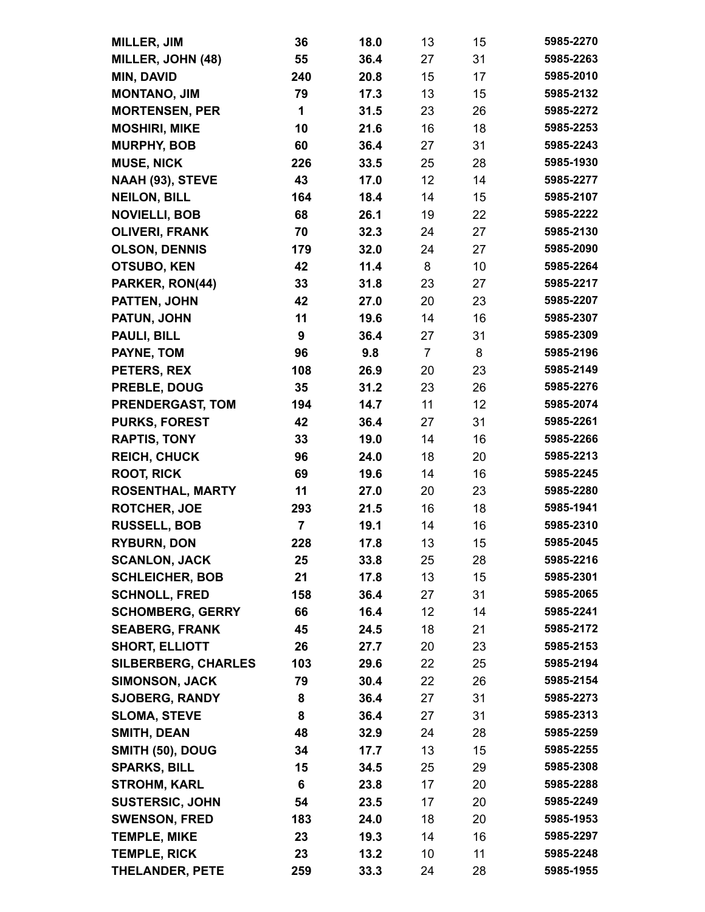| <b>MILLER, JIM</b>                            | 36      | 18.0         | 13             | 15       | 5985-2270              |
|-----------------------------------------------|---------|--------------|----------------|----------|------------------------|
| MILLER, JOHN (48)                             | 55      | 36.4         | 27             | 31       | 5985-2263              |
| MIN, DAVID                                    | 240     | 20.8         | 15             | 17       | 5985-2010              |
| <b>MONTANO, JIM</b>                           | 79      | 17.3         | 13             | 15       | 5985-2132              |
| <b>MORTENSEN, PER</b>                         | 1       | 31.5         | 23             | 26       | 5985-2272              |
| <b>MOSHIRI, MIKE</b>                          | 10      | 21.6         | 16             | 18       | 5985-2253              |
| <b>MURPHY, BOB</b>                            | 60      | 36.4         | 27             | 31       | 5985-2243              |
| <b>MUSE, NICK</b>                             | 226     | 33.5         | 25             | 28       | 5985-1930              |
| NAAH (93), STEVE                              | 43      | 17.0         | 12             | 14       | 5985-2277              |
| <b>NEILON, BILL</b>                           | 164     | 18.4         | 14             | 15       | 5985-2107              |
| <b>NOVIELLI, BOB</b>                          | 68      | 26.1         | 19             | 22       | 5985-2222              |
| <b>OLIVERI, FRANK</b>                         | 70      | 32.3         | 24             | 27       | 5985-2130              |
| <b>OLSON, DENNIS</b>                          | 179     | 32.0         | 24             | 27       | 5985-2090              |
| <b>OTSUBO, KEN</b>                            | 42      | 11.4         | 8              | 10       | 5985-2264              |
| PARKER, RON(44)                               | 33      | 31.8         | 23             | 27       | 5985-2217              |
| PATTEN, JOHN                                  | 42      | 27.0         | 20             | 23       | 5985-2207              |
| PATUN, JOHN                                   | 11      | 19.6         | 14             | 16       | 5985-2307              |
| PAULI, BILL                                   | 9       | 36.4         | 27             | 31       | 5985-2309              |
| PAYNE, TOM                                    | 96      | 9.8          | $\overline{7}$ | 8        | 5985-2196              |
| PETERS, REX                                   | 108     | 26.9         | 20             | 23       | 5985-2149              |
| PREBLE, DOUG                                  | 35      | 31.2         | 23             | 26       | 5985-2276              |
| PRENDERGAST, TOM                              | 194     | 14.7         | 11             | 12       | 5985-2074              |
| <b>PURKS, FOREST</b>                          | 42      | 36.4         | 27             | 31       | 5985-2261              |
| <b>RAPTIS, TONY</b>                           | 33      | 19.0         | 14             | 16       | 5985-2266              |
| <b>REICH, CHUCK</b>                           | 96      | 24.0         | 18             | 20       | 5985-2213              |
| <b>ROOT, RICK</b>                             | 69      | 19.6         | 14             | 16       | 5985-2245              |
| <b>ROSENTHAL, MARTY</b>                       | 11      | 27.0         | 20             | 23       | 5985-2280              |
| <b>ROTCHER, JOE</b>                           | 293     | 21.5         | 16             | 18       | 5985-1941              |
| <b>RUSSELL, BOB</b>                           | 7       | 19.1         | 14             | 16       | 5985-2310              |
| <b>RYBURN, DON</b>                            | 228     | 17.8         | 13             | 15       | 5985-2045              |
| <b>SCANLON, JACK</b>                          | 25      | 33.8         | 25             | 28       | 5985-2216              |
| <b>SCHLEICHER, BOB</b>                        | 21      | 17.8         | 13             | 15       | 5985-2301              |
| <b>SCHNOLL, FRED</b>                          | 158     | 36.4         | 27             | 31       | 5985-2065              |
| <b>SCHOMBERG, GERRY</b>                       | 66      | 16.4         | 12             | 14       | 5985-2241              |
| <b>SEABERG, FRANK</b>                         | 45      | 24.5         | 18             | 21       | 5985-2172              |
| <b>SHORT, ELLIOTT</b>                         | 26      | 27.7         | 20             | 23       | 5985-2153              |
| <b>SILBERBERG, CHARLES</b>                    | 103     | 29.6         | 22             | 25       | 5985-2194              |
| <b>SIMONSON, JACK</b>                         | 79      | 30.4         | 22             | 26       | 5985-2154              |
| <b>SJOBERG, RANDY</b>                         | 8       | 36.4         | 27             | 31       | 5985-2273              |
| <b>SLOMA, STEVE</b>                           | 8       | 36.4         | 27             | 31       | 5985-2313              |
| <b>SMITH, DEAN</b>                            | 48      | 32.9         | 24             | 28       | 5985-2259              |
| SMITH (50), DOUG                              | 34      | 17.7         | 13             | 15       | 5985-2255<br>5985-2308 |
| <b>SPARKS, BILL</b>                           | 15      | 34.5         | 25             | 29       |                        |
| <b>STROHM, KARL</b><br><b>SUSTERSIC, JOHN</b> | 6<br>54 | 23.8<br>23.5 | 17<br>17       | 20<br>20 | 5985-2288<br>5985-2249 |
| <b>SWENSON, FRED</b>                          | 183     | 24.0         | 18             | 20       | 5985-1953              |
| <b>TEMPLE, MIKE</b>                           | 23      | 19.3         | 14             | 16       | 5985-2297              |
| <b>TEMPLE, RICK</b>                           | 23      | 13.2         | 10             | 11       | 5985-2248              |
| <b>THELANDER, PETE</b>                        | 259     | 33.3         | 24             | 28       | 5985-1955              |
|                                               |         |              |                |          |                        |